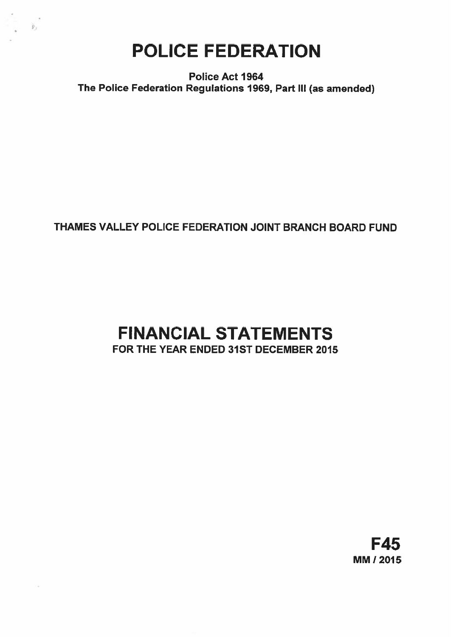# POLICE FEDERATION

 $\hat{\mathbf{F}}_1$ 

Police Act 1964 The Police Federation Regulations 1969, Part III (as amended)

## THAMES VALLEY POLICE FEDERATION JOINT BRANCH BOARD FUND

# FINANCIAL STATEMENTS FOR THE YEAR ENDED 31ST DECEMBER 2015

F45 MM! 2015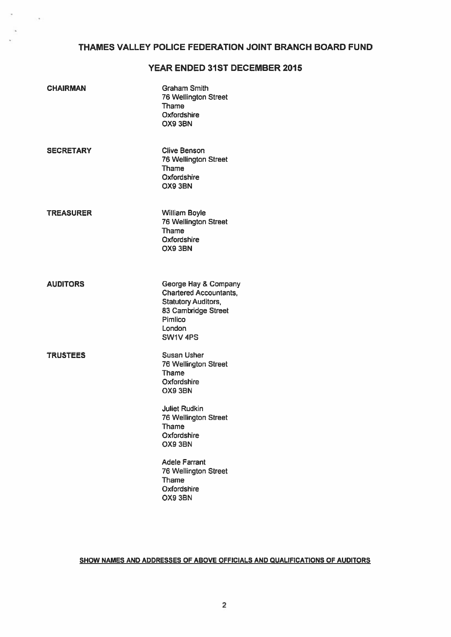## THAMES VALLEY POLICE FEDERATION JOINT BRANCH BOARD FUND

## YEAR ENDED 31ST DECEMBER 2015

| <b>CHAIRMAN</b>  | <b>Graham Smith</b><br>76 Wellington Street<br><b>Thame</b><br>Oxfordshire<br>OX9 3BN                                                                  |
|------------------|--------------------------------------------------------------------------------------------------------------------------------------------------------|
| <b>SECRETARY</b> | <b>Clive Benson</b><br><b>76 Wellington Street</b><br>Thame<br>Oxfordshire<br>OX9 3BN                                                                  |
| <b>TREASURER</b> | <b>William Boyle</b><br><b>76 Wellington Street</b><br>Thame<br>Oxfordshire<br>OX9 3BN                                                                 |
| <b>AUDITORS</b>  | George Hay & Company<br><b>Chartered Accountants,</b><br><b>Statutory Auditors,</b><br>83 Cambridge Street<br>Pimlico<br>London<br>SW1V <sub>4PS</sub> |
| <b>TRUSTEES</b>  | <b>Susan Usher</b><br>76 Wellington Street<br>Thame<br>Oxfordshire<br>OX9 3BN                                                                          |
|                  | <b>Juliet Rudkin</b><br><b>76 Wellington Street</b><br>Thame<br>Oxfordshire<br>OX9 3BN                                                                 |
|                  | <b>Adele Farrant</b><br>76 Wellington Street<br>Thame<br>Oxfordshire<br>OX9 3BN                                                                        |

×

o.

## SHOW NAMES AND ADDRESSES OF ABOVE OFFICIALS AND QUALIFICATIONS OF AUDITORS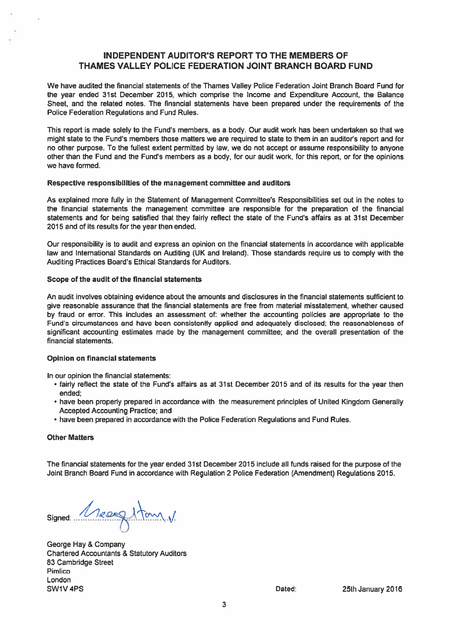## INDEPENDENT AUDITOR'S REPORT TO THE MEMBERS OF THAMES VALLEY POLICE FEDERATION JOINT BRANCH BOARD FUND

We have audited the financial statements of the Thames Valley Police Federation Joint Branch Board Fund for the year ended 31st December 2015, which comprise the Income and Expenditure Account, the Balance Sheet, and the related notes. The financial statements have been prepared under the requirements of the Police Federation Regulations and Fund Rules.

This repor<sup>t</sup> is made solely to the Fund's members, as <sup>a</sup> body. Our audit work has been undertaken so that we might state to the Fund's members those matters we are required to state to them in an auditor's repor<sup>t</sup> and for no other purpose. To the fullest extent permitted by law, we do not accep<sup>t</sup> or assume responsibility to anyone other than the Fund and the Fund's members as <sup>a</sup> body, for our audit work, for this report, or for the opinions we have formed.

#### Respective responsibilities of the managemen<sup>t</sup> committee and auditors

As explained more fully in the Statement of Management Committee's Responsibilities set out in the notes to the financial statements the managemen<sup>t</sup> committee are responsible for the preparation of the financial statements and for being satisfied that they fairly reflect the state of the Fund's affairs as at 31st December 2015 and of its results for the year then ended.

Our responsibility is to audit and express an opinion on the financial statements in accordance with applicable law and International Standards on Auditing (UK and Ireland). Those standards require us to comply with the Auditing Practices Board's Ethical Standards for Auditors.

#### Scope of the audit of the financial statements

An audit involves obtaining evidence about the amounts and disclosures in the financial statements sufficient to give reasonable assurance that the financial statements are free from material misstatement, whether caused by fraud or error This includes an assessment of: whether the accounting policies are appropriate to the Fund's circumstances and have been consistently applied and adequately disclosed; the reasonableness of significant accounting estimates made by the managemen<sup>t</sup> committee; and the overall presentation of the financial statements.

## Opinion on financial statements

In our opinion the financial statements:

- fairly reflect the state of the Fund's affairs as at 31st December 2015 and of its results for the year then ended;
- have been properly prepared in accordance with the measurement principles of United Kingdom Generally Accepted Accounting Practice; and
- have been prepared in accordance with the Police Federation Regulations and Fund Rules.

## Other Matters

The financial statements for the year ended 31st December 2015 include all funds raised for the purpose of the Joint Branch Board Fund in accordance with Regulation 2 Police Federation (Amendment) Regulations 2015.

signed: Messegutan V.

George Hay & Company Chartered Accountants & Statutory Auditors 83 Cambridge Street Pimlico London SW1V4PS **Dated:** 25th January 2016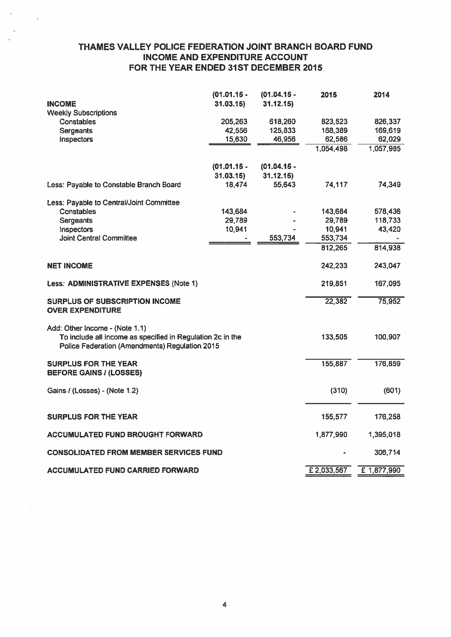## THAMES VALLEY POLICE FEDERATION JOINT BRANCH BOARD FUND INCOME AND EXPENDITURE ACCOUNT FOR THE YEAR ENDED 31ST DECEMBER 2015

|                                                                                                                                                | $(01.01.15 -$ | $(01.04.15 -$ | 2015       | 2014        |
|------------------------------------------------------------------------------------------------------------------------------------------------|---------------|---------------|------------|-------------|
| <b>INCOME</b>                                                                                                                                  | 31.03.15      | 31.12.15      |            |             |
| <b>Weekly Subscriptions</b><br><b>Constables</b>                                                                                               | 205,263       | 618,260       | 823,523    | 826,337     |
| <b>Sergeants</b>                                                                                                                               | 42,556        | 125,833       | 168,389    | 169,619     |
| Inspectors                                                                                                                                     | 15,630        | 46,956        | 62,586     | 62,029      |
|                                                                                                                                                |               |               | 1,054,498  | 1,057,985   |
|                                                                                                                                                |               |               |            |             |
|                                                                                                                                                | $(01.01.15 -$ | $(01.04.15 -$ |            |             |
|                                                                                                                                                | 31.03.15      | 31.12.15      |            |             |
| Less: Payable to Constable Branch Board                                                                                                        | 18,474        | 55,643        | 74,117     | 74,349      |
|                                                                                                                                                |               |               |            |             |
| Less: Payable to Central/Joint Committee                                                                                                       |               |               |            |             |
| Constables                                                                                                                                     | 143,684       |               | 143,684    | 578,436     |
| <b>Sergeants</b>                                                                                                                               | 29,789        |               | 29,789     | 118,733     |
| Inspectors                                                                                                                                     | 10,941        |               | 10,941     | 43,420      |
| <b>Joint Central Committee</b>                                                                                                                 |               | 553,734       | 553,734    |             |
|                                                                                                                                                |               |               | 812,265    | 814,938     |
| <b>NET INCOME</b>                                                                                                                              |               |               | 242,233    | 243,047     |
| Less: ADMINISTRATIVE EXPENSES (Note 1)                                                                                                         |               |               | 219,851    | 167,095     |
| <b>SURPLUS OF SUBSCRIPTION INCOME</b><br><b>OVER EXPENDITURE</b>                                                                               |               |               | 22,382     | 75,952      |
| Add: Other Income - (Note 1.1)<br>To include all income as specified in Regulation 2c in the<br>Police Federation (Amendments) Regulation 2015 |               |               | 133,505    | 100,907     |
| <b>SURPLUS FOR THE YEAR</b><br><b>BEFORE GAINS / (LOSSES)</b>                                                                                  |               |               | 155,887    | 176,859     |
| Gains / (Losses) - (Note 1.2)                                                                                                                  |               |               | (310)      | (601)       |
| <b>SURPLUS FOR THE YEAR</b>                                                                                                                    |               |               | 155,577    | 176,258     |
| ACCUMULATED FUND BROUGHT FORWARD                                                                                                               |               |               | 1,877,990  | 1,395,018   |
| <b>CONSOLIDATED FROM MEMBER SERVICES FUND</b>                                                                                                  |               |               |            | 306,714     |
| <b>ACCUMULATED FUND CARRIED FORWARD</b>                                                                                                        |               |               | £2,033,567 | £ 1,877,990 |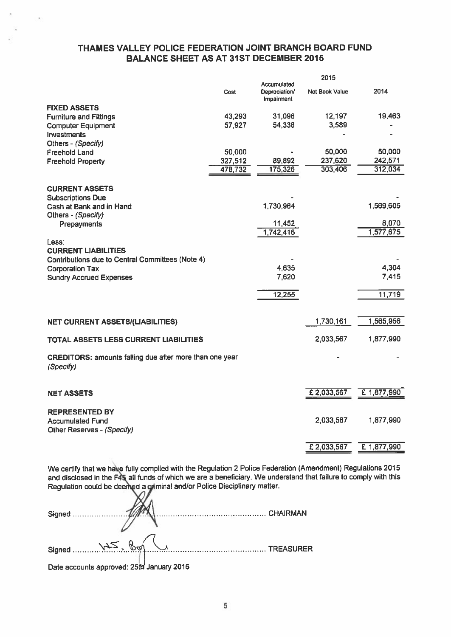## THAMES VALLEY POLICE FEDERATION JOINT BRANCH BOARD FUND BALANCE SHEET AS AT 31ST DECEMBER 2015

|                                                                             |         |                                            | 2015                  |             |
|-----------------------------------------------------------------------------|---------|--------------------------------------------|-----------------------|-------------|
|                                                                             | Cost    | Accumulated<br>Depreciation/<br>Impairment | <b>Net Book Value</b> | 2014        |
| <b>FIXED ASSETS</b>                                                         |         |                                            |                       |             |
| <b>Furniture and Fittings</b>                                               | 43,293  | 31,096                                     | 12,197                | 19,463      |
| <b>Computer Equipment</b>                                                   | 57,927  | 54,338                                     | 3,589                 |             |
| Investments                                                                 |         |                                            |                       |             |
| Others - (Specify)                                                          |         |                                            |                       |             |
| <b>Freehold Land</b>                                                        | 50,000  |                                            | 50,000                | 50,000      |
| <b>Freehold Property</b>                                                    | 327,512 | 89,892                                     | 237,620               | 242,571     |
|                                                                             | 478,732 | 175,326                                    | 303,406               | 312,034     |
| <b>CURRENT ASSETS</b>                                                       |         |                                            |                       |             |
| <b>Subscriptions Due</b>                                                    |         |                                            |                       |             |
| Cash at Bank and in Hand                                                    |         | 1,730,964                                  |                       | 1,569,605   |
| Others - (Specify)                                                          |         |                                            |                       |             |
| Prepayments                                                                 |         | 11,452                                     |                       | 8,070       |
|                                                                             |         | 1,742,416                                  |                       | 1,577,675   |
| Less:                                                                       |         |                                            |                       |             |
| <b>CURRENT LIABILITIES</b>                                                  |         |                                            |                       |             |
| Contributions due to Central Committees (Note 4)                            |         |                                            |                       |             |
| <b>Corporation Tax</b>                                                      |         | 4,635                                      |                       | 4,304       |
| <b>Sundry Accrued Expenses</b>                                              |         | 7,620                                      |                       | 7,415       |
|                                                                             |         | 12,255                                     |                       | 11,719      |
|                                                                             |         |                                            |                       |             |
| <b>NET CURRENT ASSETS/(LIABILITIES)</b>                                     |         |                                            | 1,730,161             | 1,565,956   |
| TOTAL ASSETS LESS CURRENT LIABILITIES                                       |         |                                            | 2.033,567             | 1,877,990   |
|                                                                             |         |                                            |                       |             |
| <b>CREDITORS: amounts falling due after more than one year</b><br>(Specify) |         |                                            |                       |             |
| <b>NET ASSETS</b>                                                           |         |                                            | £2,033,567            | £ 1,877,990 |
|                                                                             |         |                                            |                       |             |
| <b>REPRESENTED BY</b>                                                       |         |                                            |                       |             |
| <b>Accumulated Fund</b><br>Other Reserves - (Specify)                       |         |                                            | 2,033,567             | 1,877,990   |
|                                                                             |         |                                            |                       |             |
|                                                                             |         |                                            | £2,033,567            | £ 1,877,990 |

We certify that we haçe fully complied with the Regulation <sup>2</sup> Police Federation (Amendment) Regulations <sup>2015</sup> and disclosed in the F4\aIl funds of which we are <sup>a</sup> beneficiary. We understand that failure to comply with this Regulation could be deemed a criminal and/or Police Disciplinary matter.

| Signed                          |                    |           |
|---------------------------------|--------------------|-----------|
|                                 |                    |           |
| Signed WS, Boy                  |                    | TREASURER |
| oral<br>Bata announce announced | $1 - 2 - 2 - 2040$ |           |

Date accounts approved: 25th January 2016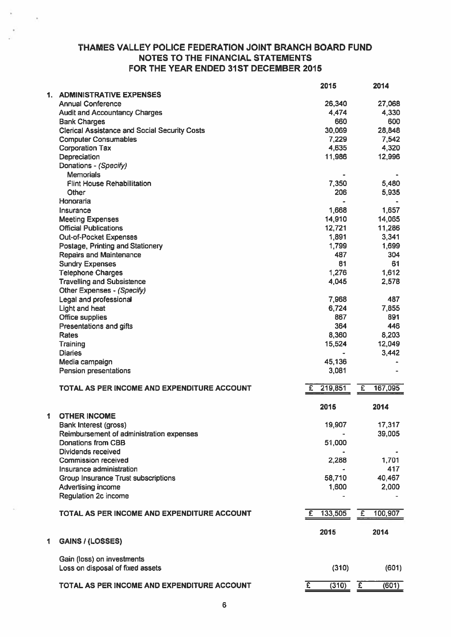## THAMES VALLEY POLICE FEDERATION JOINT BRANCH BOARD FUND NOTES TO THE FINANCIAL STATEMENTS FOR THE YEAR ENDED 31ST DECEMBER 2015

|      |                                                      | 2015                    | 2014                      |
|------|------------------------------------------------------|-------------------------|---------------------------|
| 1. . | <b>ADMINISTRATIVE EXPENSES</b>                       |                         |                           |
|      | <b>Annual Conference</b>                             | 26,340                  | 27,068                    |
|      | <b>Audit and Accountancy Charges</b>                 | 4,474                   | 4,330                     |
|      | <b>Bank Charges</b>                                  | 660                     | 600                       |
|      | <b>Clerical Assistance and Social Security Costs</b> | 30,069                  | 28,848                    |
|      | <b>Computer Consumables</b>                          | 7,229                   | 7,542                     |
|      | <b>Corporation Tax</b>                               | 4,635                   | 4,320                     |
|      | Depreciation                                         | 11,986                  | 12,996                    |
|      | Donations - (Specify)                                |                         |                           |
|      | <b>Memorials</b>                                     |                         |                           |
|      | <b>Flint House Rehabillitation</b>                   | 7,350                   | 5,480                     |
|      | Other                                                | 206                     | 5,935                     |
|      | Honoraria                                            |                         |                           |
|      | Insurance                                            | 1,668                   | 1,657                     |
|      | <b>Meeting Expenses</b>                              | 14,910                  | 14,065                    |
|      | <b>Official Publications</b>                         | 12,721                  | 11,286                    |
|      | Out-of-Pocket Expenses                               | 1,891                   | 3,341                     |
|      | Postage, Printing and Stationery                     | 1,799                   | 1,699                     |
|      | <b>Repairs and Maintenance</b>                       | 487                     | 304                       |
|      | <b>Sundry Expenses</b>                               | 81                      | 61                        |
|      | <b>Telephone Charges</b>                             | 1,276                   | 1,612                     |
|      | <b>Travelling and Subsistence</b>                    | 4,045                   | 2,578                     |
|      | Other Expenses - (Specify)                           |                         |                           |
|      | Legal and professional                               | 7,968                   | 487                       |
|      | Light and heat                                       | 6,724                   | 7,855                     |
|      | <b>Office supplies</b>                               | 867                     | 891                       |
|      | Presentations and gifts                              | 364                     | 446                       |
|      | Rates                                                | 8,360                   | 8,203                     |
|      | Training                                             | 15,524                  | 12,049                    |
|      | <b>Diaries</b>                                       |                         | 3,442                     |
|      | Media campaign                                       | 45,136                  |                           |
|      | Pension presentations                                | 3,081                   |                           |
|      |                                                      |                         |                           |
|      | TOTAL AS PER INCOME AND EXPENDITURE ACCOUNT          | 219,851<br>£            | £<br>167,095              |
|      |                                                      |                         |                           |
|      |                                                      | 2015                    | 2014                      |
| 1    | <b>OTHER INCOME</b>                                  |                         |                           |
|      | Bank Interest (gross)                                | 19,907                  | 17,317                    |
|      | Reimbursement of administration expenses             |                         | 39,005                    |
|      | Donations from CBB                                   | 51,000                  |                           |
|      | Dividends received                                   |                         |                           |
|      | <b>Commission received</b>                           | 2,288                   | 1,701                     |
|      | Insurance administration                             |                         | 417                       |
|      | <b>Group Insurance Trust subscriptions</b>           | 58,710                  | 40,467                    |
|      | Advertising income                                   | 1,600                   | 2,000                     |
|      | <b>Regulation 2c income</b>                          |                         |                           |
|      |                                                      |                         |                           |
|      | TOTAL AS PER INCOME AND EXPENDITURE ACCOUNT          | 133,505<br>£.           | 100,907<br>$\overline{f}$ |
|      |                                                      |                         |                           |
|      |                                                      | 2015                    | 2014                      |
| 1    | <b>GAINS / (LOSSES)</b>                              |                         |                           |
|      |                                                      |                         |                           |
|      | Gain (loss) on investments                           |                         |                           |
|      | Loss on disposal of fixed assets                     | (310)                   | (601)                     |
|      | TOTAL AS PER INCOME AND EXPENDITURE ACCOUNT          | (310)<br>$\overline{f}$ | $\overline{E}$<br>(601)   |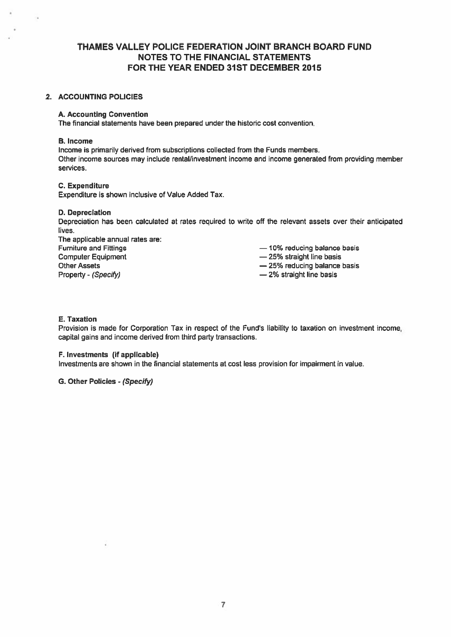## THAMES VALLEY POLICE FEDERATION JOINT BRANCH BOARD FUND NOTES TO THE FINANCIAL STATEMENTS FOR THE YEAR ENDED 31ST DECEMBER 2015

## 2. ACCOUNTING POLICIES

## A. Accounting Convention

The financial statements have been prepared under the historic cost convention.

#### B. Income

Income is primarily derived from subscriptions collected from the Funds members. Other income sources may include rental/investment income and income generated from providing member services.

## C. Expenditure

Expenditure is shown inclusive of Value Added Tax.

#### D. Depreciation

Depreciation has been calculated at rates required to write off the relevant assets over their anticipated lives.

The applicable annual rates are: Furniture and Fittings — 10% reducing balance basis Computer Equipment **Equipment** — 25% straight line basis Other Assets **25% reducing balance basis**  $-25%$  reducing balance basis Property - (Specify) extends the contract of the 2% straight line basis

- 
- 

## E. Taxation

Provision is made for Corporation Tax in respec<sup>t</sup> of the Fund's liability to taxation on investment income, capital gains and income derived from third party transactions.

## F. Investments (if applicable)

Investments are shown in the financial statements at cost less provision for impairment in value.

## G. Other Policies - (Specify)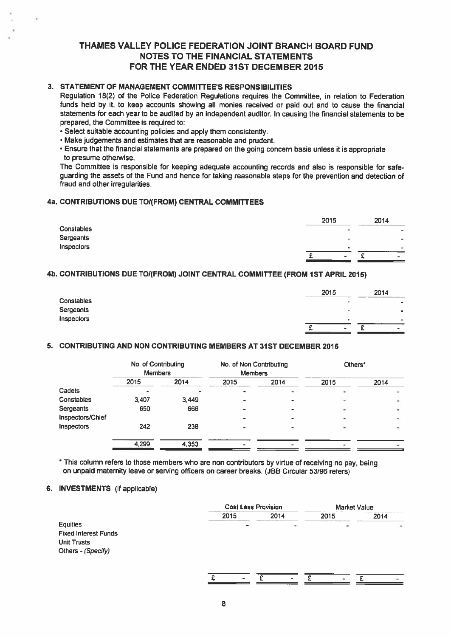## THAMES VALLEY POLICE FEDERATION JOINT BRANCH BOARD FUND NOTES TO THE FINANCIAL STATEMENTS FOR THE YEAR ENDED 31ST DECEMBER 2015

## 3. STATEMENT OF MANAGEMENT COMMITTEE'S RESPONSIBILITIES

Regulation 18(2) of the Police Federation Regulations requires the Committee, in relation to Federation funds held by it, to keep accounts showing all monies received or paid out and to cause the financial statements for each year to be audited by an independent auditor. In causing the financial statements to be prepared, the Committee is required to:

- Select suitable accounting policies and apply them consistently.
- Make judgements and estimates that are reasonable and prudent.
- Ensure that the financial statements are prepare<sup>d</sup> on the going concern basis unless it is appropriate to presume otherwise.

The Committee is responsible for keeping adequate accounting records and also is responsible for safe guarding the assets of the Fund and hence for taking reasonable steps for the prevention and detection of fraud and other irregularities.

## 4a. CONTRIBUTIONS DUE TOI(FROM) CENTRAL COMMITTEES

|                   | 2015<br>contract to a second company | 2014                    |
|-------------------|--------------------------------------|-------------------------|
| <b>Constables</b> | $\sim$                               | _____<br>$\blacksquare$ |
| Sergeants         | $\rightarrow$                        | $\bullet$               |
| Inspectors        | $\blacksquare$                       | -                       |
|                   | $\overline{\phantom{a}}$             | ۰                       |

## 4b. CONTRIBUTIONS DUE TO/(FROM) JOINT CENTRAL COMMITTEE (FROM 1ST APRIL 2015)

|                   | 2015                     | 2014                    |
|-------------------|--------------------------|-------------------------|
| <b>Constables</b> | $\sim$                   | -                       |
| Sergeants         | $\overline{\phantom{0}}$ | $\qquad \qquad \bullet$ |
| Inspectors        | $\bullet$                |                         |
|                   | $\blacksquare$           | 1994                    |

## 5. CONTRIBUTING AND NON CONTRIBUTING MEMBERS AT 31ST DECEMBER 2015

|                  | No. of Contributing<br><b>Members</b> |       | No. of Non Contributing<br><b>Members</b> |      | Others* |      |
|------------------|---------------------------------------|-------|-------------------------------------------|------|---------|------|
|                  | 2015                                  | 2014  | 2015                                      | 2014 | 2015    | 2014 |
| Cadets           |                                       |       |                                           |      |         |      |
| Constables       | 3,407                                 | 3,449 |                                           |      |         |      |
| Sergeants        | 650                                   | 666   |                                           |      | $\,$    |      |
| Inspectors/Chief |                                       |       |                                           |      |         |      |
| Inspectors       | 242                                   | 238   |                                           |      |         |      |
|                  | 4,299                                 | 4,353 |                                           |      |         |      |

\* This column refers to those members who are non contributors by virtue of receiving no pay, being on unpaid maternity leave or serving officers on career breaks. (JBB Circular 53/96 refers)

## 6. INVESTMENTS (if applicable)

|                             |      | <b>Cost Less Provision</b> |                | <b>Market Value</b>      |
|-----------------------------|------|----------------------------|----------------|--------------------------|
|                             | 2015 | 2014                       | 2015           | 2014                     |
| <b>Equities</b>             |      | $\overline{a}$             | $\blacksquare$ | $\overline{\phantom{a}}$ |
| <b>Fixed Interest Funds</b> |      |                            |                |                          |
| <b>Unit Trusts</b>          |      |                            |                |                          |
| Others - (Specify)          |      |                            |                |                          |
|                             |      |                            |                |                          |
|                             |      |                            |                |                          |